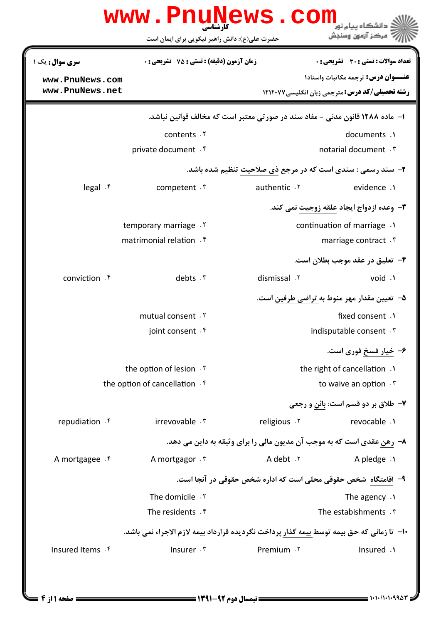|                                                             | www.PnuNews.com<br>حضرت علی(ع): دانش راهبر نیکویی برای ایمان است                           |                                                                        | مركز آزمون وسنجش                                       |
|-------------------------------------------------------------|--------------------------------------------------------------------------------------------|------------------------------------------------------------------------|--------------------------------------------------------|
| <b>سری سوال :</b> یک ۱                                      | <b>زمان آزمون (دقیقه) : تستی : 75 تشریحی: 0</b>                                            |                                                                        | <b>تعداد سوالات : تستی : 30 ٪ تشریحی : 0</b>           |
| www.PnuNews.com                                             |                                                                                            |                                                                        | <b>عنـــوان درس:</b> ترجمه مکاتبات واسناد۱             |
| www.PnuNews.net                                             |                                                                                            |                                                                        | <b>رشته تحصیلی/کد درس: مترجمی زبان انگلیسی ۱۲۱۲۰۷۷</b> |
|                                                             | ۱– ماده ۱۲۸۸ قانون مدنی - مفاد سند در صورتی معتبر است که مخالف قوانین نباشد.               |                                                                        |                                                        |
|                                                             | contents .Y                                                                                |                                                                        | documents .1                                           |
|                                                             | private document . f                                                                       |                                                                        | notarial document . \v                                 |
| ۲- سند رسمی : سندی است که در مرجع ذی صلاحیت تنظیم شده باشد. |                                                                                            |                                                                        |                                                        |
| legal.f                                                     | competent $\cdot$                                                                          | authentic .Y                                                           | evidence .1                                            |
|                                                             |                                                                                            |                                                                        | <b>۳</b> - وعده ازدواج ایجاد علقه زوجیت نمی کند.       |
|                                                             | temporary marriage . Y                                                                     |                                                                        | continuation of marriage .                             |
|                                                             | matrimonial relation f                                                                     |                                                                        | marriage contract . \v                                 |
|                                                             |                                                                                            |                                                                        | ۴–  تعلیق در عقد موجب بطلان است.                       |
| conviction f                                                | debts . ٣                                                                                  | dismissal . ٢                                                          | void .1                                                |
|                                                             |                                                                                            |                                                                        | ۵–  تعیین مقدار مهر منوط به تراضی طرفین است.           |
|                                                             | mutual consent . Y                                                                         | fixed consent .1                                                       |                                                        |
|                                                             | joint consent f                                                                            |                                                                        | indisputable consent . \v                              |
|                                                             |                                                                                            |                                                                        | ۶- خیار فسخ فوری است.                                  |
|                                                             | the option of lesion .Y                                                                    | the right of cancellation .<br>to waive an option . \v                 |                                                        |
|                                                             | the option of cancellation. <sup>f</sup>                                                   |                                                                        |                                                        |
|                                                             |                                                                                            |                                                                        | ۷- طلاق بر دو قسم است: بائن و رجعی                     |
| repudiation . f                                             | irrevovable . \"                                                                           | religious . Y                                                          | revocable .1                                           |
|                                                             |                                                                                            | ۸– رهن عقدی است که به موجب آن مدیون مالی را برای وثیقه به داین می دهد. |                                                        |
| A mortgagee . f                                             | A mortgagor . ٣                                                                            | A debt . ٢                                                             | A pledge.                                              |
|                                                             |                                                                                            | ۹– اقامتگاه شخص حقوقی محلی است که اداره شخص حقوقی در آنجا است.         |                                                        |
|                                                             | The domicile . Y                                                                           |                                                                        | The agency $.1$                                        |
|                                                             | The residents . f                                                                          |                                                                        | The estabishments . ٣                                  |
|                                                             | ∙ا−  تا زمانی که حق بیمه توسط بیمه گذار پرداخت نگردیده قرارداد بیمه لازم الاجراء نمی باشد. |                                                                        |                                                        |
| Insured Items . f                                           | Insurer . ٣                                                                                | Premium . ٢                                                            | Insured .1                                             |
|                                                             |                                                                                            |                                                                        |                                                        |

 $= 1.1 - 11.1.99$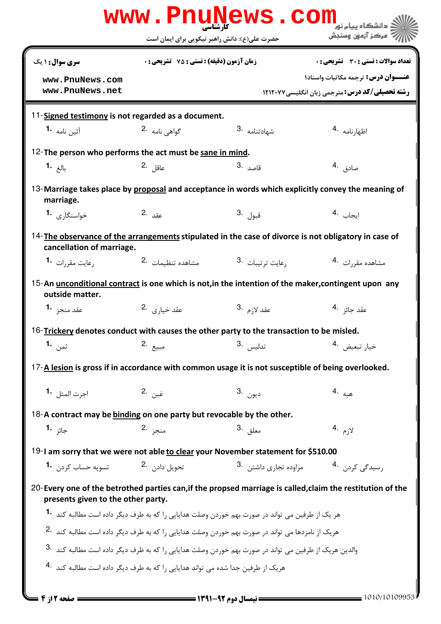|                                                                                                                         | حضرت علی(ع): دانش راهبر نیکویی برای ایمان است      | www.PnuNews.com                                                                                                  | " مرڪز آزمون وسنڊش                                                                                         |
|-------------------------------------------------------------------------------------------------------------------------|----------------------------------------------------|------------------------------------------------------------------------------------------------------------------|------------------------------------------------------------------------------------------------------------|
| سری سوال: ۱ یک                                                                                                          | <b>زمان آزمون (دقیقه) : تستی : 75 ٪ تشریحی : 0</b> |                                                                                                                  | تعداد سوالات : تستي : 30 ٪ تشريحي : 0                                                                      |
|                                                                                                                         |                                                    |                                                                                                                  | عنــوان درس: ترجمه مكاتبات واسناد١                                                                         |
| www.PnuNews.com<br>www.PnuNews.net                                                                                      |                                                    |                                                                                                                  | <b>رشته تحصیلی/کد درس: مترجمی زبان انگلیسی ۱۲۱۲۰۷۷</b>                                                     |
| 11-Signed testimony is not regarded as a document.                                                                      |                                                    |                                                                                                                  |                                                                                                            |
| آئين نامه 1۰                                                                                                            | گواهی نامه 2.                                      | شىھادتنامە .3                                                                                                    | اظهارنامه .4                                                                                               |
|                                                                                                                         |                                                    |                                                                                                                  |                                                                                                            |
| 12-The person who performs the act must be sane in mind.<br>بالغ <b>1.</b>                                              | عاقل .2                                            | قاصد .3                                                                                                          | صادق .4                                                                                                    |
|                                                                                                                         |                                                    |                                                                                                                  |                                                                                                            |
| 13-Marriage takes place by proposal and acceptance in words which explicitly convey the meaning of<br>marriage.         |                                                    |                                                                                                                  |                                                                                                            |
| خواسنگا <sub>د</sub> ی <b>-1</b>                                                                                        | عقد .2                                             | قبول <sup>.3</sup>                                                                                               | ايجاب <sup>.4</sup>                                                                                        |
| 14-The observance of the arrangements stipulated in the case of divorce is not obligatory in case of                    |                                                    |                                                                                                                  |                                                                                                            |
| cancellation of marriage.                                                                                               |                                                    |                                                                                                                  |                                                                                                            |
| رعایت مقر <sub>د</sub> ات <b>1</b> ۰                                                                                    | مشاهده تنظيمات 2.                                  | 3. رعايت ترتيبات,                                                                                                | مشاهده مقررات 4.                                                                                           |
| 15-An unconditional contract is one which is not, in the intention of the maker, contingent upon any<br>outside matter. |                                                    |                                                                                                                  |                                                                                                            |
| عقد منجز <b>1</b>                                                                                                       | عقد خيا <sub>د</sub> ى 2.                          | عقد لا <sub>زم</sub> .3                                                                                          | عقد جائز <sup>. 4</sup>                                                                                    |
| 16- $\frac{Trickerv}{\text{}}$ denotes conduct with causes the other party to the transaction to be misled.             |                                                    |                                                                                                                  |                                                                                                            |
| ثمن <b>1.</b>                                                                                                           | مبيع .2                                            | تدليس . <sup>3</sup>                                                                                             | خيار تبعيض . 4                                                                                             |
| 17-A lesion is gross if in accordance with common usage it is not susceptible of being overlooked.                      |                                                    |                                                                                                                  |                                                                                                            |
| اجرت المثل . 1                                                                                                          | غبن .2                                             | ديون .3                                                                                                          | هبه .4                                                                                                     |
| 18-A contract may be binding on one party but revocable by the other.                                                   |                                                    |                                                                                                                  |                                                                                                            |
| جائز <b>1.</b>                                                                                                          | منجز 2.                                            | معلق .3                                                                                                          | لازم .4                                                                                                    |
| 19-I am sorry that we were not able to clear your November statement for \$510.00                                       |                                                    |                                                                                                                  |                                                                                                            |
| -<br>تسويه حساب كردن - <b>1</b>                                                                                         | تحويل دادن 2.                                      | مراوده تجاری داشتن <sup>.3</sup>                                                                                 | رسیدگی کردن <sup>۔4</sup>                                                                                  |
|                                                                                                                         |                                                    |                                                                                                                  |                                                                                                            |
| presents given to the other party.                                                                                      |                                                    |                                                                                                                  | 20-Every one of the betrothed parties can, if the propsed marriage is called, claim the restitution of the |
|                                                                                                                         |                                                    | هر یک از طرفین می تواند در صورت بهم خوردن وصلت هدایایی را که به طرف دیگر داده است مطالبه کند   ـ <b>1</b>        |                                                                                                            |
|                                                                                                                         |                                                    | هریک از نامزدها می تواند در صورت بهم خوردن وصلت هدایایی ,ا که به طرف دیگر داده است مطالبه کند <sup>.2</sup>      |                                                                                                            |
|                                                                                                                         |                                                    | والدین هریک از طرفین می تواند در صورت بهم خوردن وصلت هدایایی ,ا که به ظرف دیگر داده است مطالبه کند <sup>.3</sup> |                                                                                                            |
| هریک از طرفین جدا شده می تواند هدایایی <sub>د</sub> ا که به طرف دیگر داده است مطالبه کند <sup>.4</sup>                  |                                                    |                                                                                                                  |                                                                                                            |
|                                                                                                                         |                                                    |                                                                                                                  |                                                                                                            |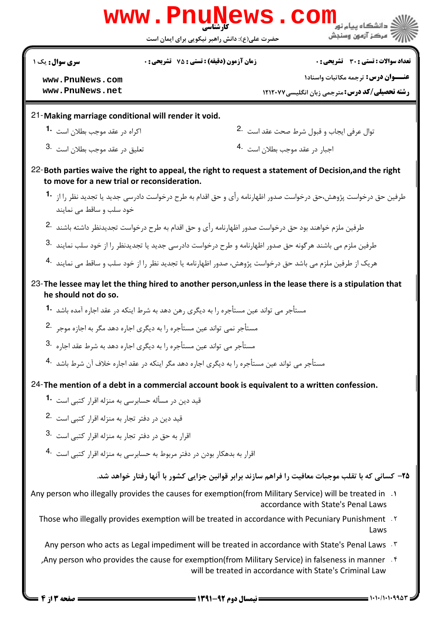|                                                                                                                                                              | <b>www.PnuNews</b>                                                                                                    | CO                                                                                                                                            |  |  |  |
|--------------------------------------------------------------------------------------------------------------------------------------------------------------|-----------------------------------------------------------------------------------------------------------------------|-----------------------------------------------------------------------------------------------------------------------------------------------|--|--|--|
|                                                                                                                                                              | حضرت علی(ع): دانش راهبر نیکویی برای ایمان است                                                                         | " مرڪز آزمون وسنڊش                                                                                                                            |  |  |  |
| سری سوال : یک ۱                                                                                                                                              | زمان آزمون (دقيقه) : تستى : 75 ٪ تشريحي : 0                                                                           | تعداد سوالات : تستي : 30 ٪ تشريحي : 0                                                                                                         |  |  |  |
| www.PnuNews.com                                                                                                                                              |                                                                                                                       | <b>عنـــوان درس:</b> ترجمه مكاتبات واسناد١                                                                                                    |  |  |  |
| www.PnuNews.net                                                                                                                                              |                                                                                                                       | <b>رشته تحصیلی/کد درس:</b> مترجمی زبان انگلیسی/۱۲۱۲۰۷۷                                                                                        |  |  |  |
| 21-Making marriage conditional will render it void.                                                                                                          |                                                                                                                       |                                                                                                                                               |  |  |  |
| اکراه در عقد موجب بطلان است <b>1</b>                                                                                                                         |                                                                                                                       | توال عرفي ايجاب و قبول شرط صحت عقد است <sup>.2</sup>                                                                                          |  |  |  |
| تعليق در عقد موجب بطلان است <sup>.3</sup>                                                                                                                    |                                                                                                                       | اجبار در عقد موجب بطلان است <sup>.4</sup>                                                                                                     |  |  |  |
| to move for a new trial or reconsideration.                                                                                                                  |                                                                                                                       | 22-Both parties waive the right to appeal, the right to request a statement of Decision, and the right                                        |  |  |  |
| خود سلب و ساقط می نمایند                                                                                                                                     |                                                                                                                       | طرفین حق درخواست پژوهش،حق درخواست صدور اظهارنامه رأی و حق اقدام به طرح درخواست دادرسی جدید یا تجدید نظر ,ا از <b>1</b> ۰                      |  |  |  |
|                                                                                                                                                              | طرفین ملزم خواهند بود حق درخواست صدور اظهارنامه رأی و حق اقدام به طرح درخواست تجدیدنظر داشته باشند <sup>.2</sup>      |                                                                                                                                               |  |  |  |
|                                                                                                                                                              | طرفین ملزم می باشند هرگونه حق صدور اظهارنامه و طرح درخواست دادرسی جدید یا تجدیدنظر را از خود سلب نمایند <sup>.3</sup> |                                                                                                                                               |  |  |  |
|                                                                                                                                                              | هریک از طرفین ملزم می باشد حق درخواست پژوهش، صدور اظهارنامه یا تجدید نظر را از خود سلب و ساقط می نمایند <sup>.4</sup> |                                                                                                                                               |  |  |  |
| he should not do so.                                                                                                                                         |                                                                                                                       | 23-The lessee may let the thing hired to another person, unless in the lease there is a stipulation that                                      |  |  |  |
|                                                                                                                                                              | مستأجر مي تواند عين مستأجره را به ديگري رهن دهد به شرط اينكه در عقد اجاره آمده باشد <sup>1</sup> ۰                    |                                                                                                                                               |  |  |  |
| مستأجر نمی تواند عین مستأجره را به دیگری اجاره دهد مگر به اجازه موجر 2۰                                                                                      |                                                                                                                       |                                                                                                                                               |  |  |  |
| مستأجر می تواند عین مستأجره را به دیگری اجاره دهد به شرط عقد اجا <sub>د</sub> ه <sup>3.</sup>                                                                |                                                                                                                       |                                                                                                                                               |  |  |  |
|                                                                                                                                                              | مستأجر مے, تواند عین مستأجرہ ,ا به دیگری اجارہ دهد مگر اینکه در عقد اجارہ خلاف آن شرط باشد <sup>.4</sup>              |                                                                                                                                               |  |  |  |
|                                                                                                                                                              | 24-The mention of a debt in a commercial account book is equivalent to a written confession.                          |                                                                                                                                               |  |  |  |
| قید دین در مسأله حسابرسی به منزله اقرار کتبی است <b>1</b> •                                                                                                  |                                                                                                                       |                                                                                                                                               |  |  |  |
| قید دین در دفتر تجار به منزله اقرار کتبی است <sup>.2</sup>                                                                                                   |                                                                                                                       |                                                                                                                                               |  |  |  |
| اقرار به حق در دفتر تجار به منزله اقرار کتبے, است 3.                                                                                                         |                                                                                                                       |                                                                                                                                               |  |  |  |
| اقرار به بدهکار بودن در دفتر مربوط به حسابرسی به منزله اقرا <sub>د</sub> کتبی است <sup>.4</sup>                                                              |                                                                                                                       |                                                                                                                                               |  |  |  |
|                                                                                                                                                              |                                                                                                                       | ۲۵– کسانی که با تقلب موجبات معافیت را فراهم سازند برابر قوانین جزایی کشور با آنها رفتار خواهد شد.                                             |  |  |  |
|                                                                                                                                                              |                                                                                                                       | 1. Any person who illegally provides the causes for exemption(from Military Service) will be treated in<br>accordance with State's Penal Laws |  |  |  |
|                                                                                                                                                              |                                                                                                                       | Those who illegally provides exemption will be treated in accordance with Pecuniary Punishment . Y<br>Laws                                    |  |  |  |
|                                                                                                                                                              |                                                                                                                       | Any person who acts as Legal impediment will be treated in accordance with State's Penal Laws . T                                             |  |  |  |
| Any person who provides the cause for exemption(from Military Service) in falseness in manner . f<br>will be treated in accordance with State's Criminal Law |                                                                                                                       |                                                                                                                                               |  |  |  |

)+``(&(&/(&(& نيمسال دوم 1391-92 صفحه 3 از 4